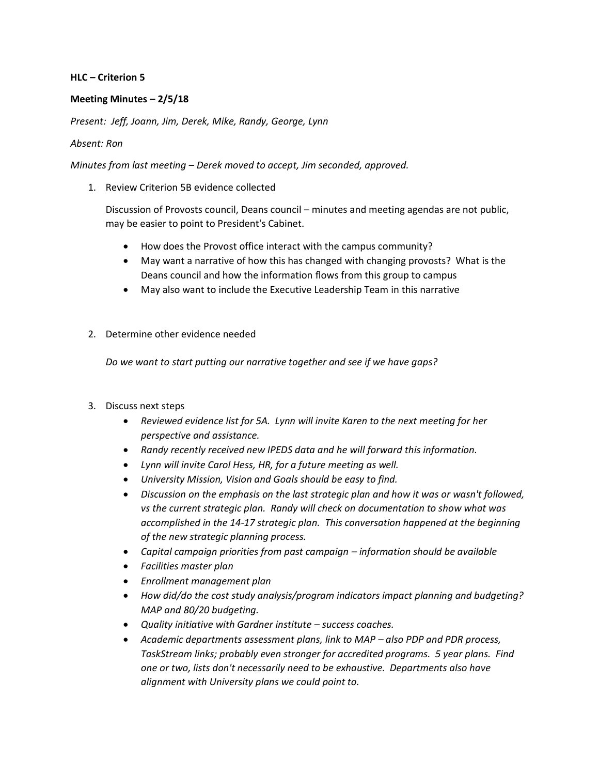## **HLC – Criterion 5**

## **Meeting Minutes – 2/5/18**

*Present: Jeff, Joann, Jim, Derek, Mike, Randy, George, Lynn*

## *Absent: Ron*

*Minutes from last meeting – Derek moved to accept, Jim seconded, approved.*

1. Review Criterion 5B evidence collected

Discussion of Provosts council, Deans council – minutes and meeting agendas are not public, may be easier to point to President's Cabinet.

- How does the Provost office interact with the campus community?
- May want a narrative of how this has changed with changing provosts? What is the Deans council and how the information flows from this group to campus
- May also want to include the Executive Leadership Team in this narrative
- 2. Determine other evidence needed

*Do we want to start putting our narrative together and see if we have gaps?*

- 3. Discuss next steps
	- *Reviewed evidence list for 5A. Lynn will invite Karen to the next meeting for her perspective and assistance.*
	- *Randy recently received new IPEDS data and he will forward this information.*
	- *Lynn will invite Carol Hess, HR, for a future meeting as well.*
	- *University Mission, Vision and Goals should be easy to find.*
	- *Discussion on the emphasis on the last strategic plan and how it was or wasn't followed, vs the current strategic plan. Randy will check on documentation to show what was accomplished in the 14-17 strategic plan. This conversation happened at the beginning of the new strategic planning process.*
	- *Capital campaign priorities from past campaign – information should be available*
	- *Facilities master plan*
	- *Enrollment management plan*
	- *How did/do the cost study analysis/program indicators impact planning and budgeting? MAP and 80/20 budgeting.*
	- *Quality initiative with Gardner institute – success coaches.*
	- Academic departments assessment plans, link to MAP also PDP and PDR process, *TaskStream links; probably even stronger for accredited programs. 5 year plans. Find one or two, lists don't necessarily need to be exhaustive. Departments also have alignment with University plans we could point to.*